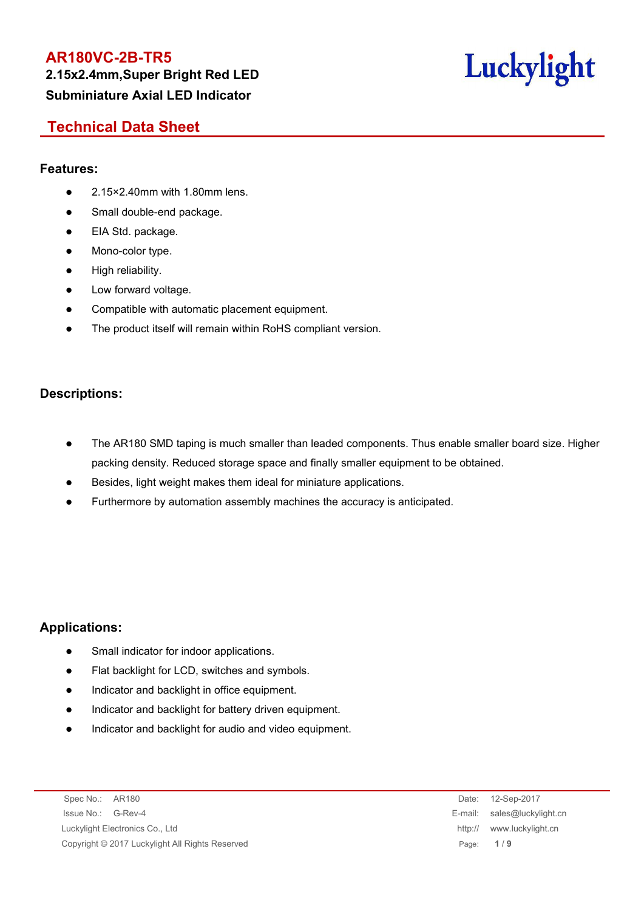**2.15x2.4mm,Super Bright Red LED Subminiature Axial LED Indicator**



# **Technical Data Sheet**

#### **Features:**

- 2.15×2.40mm with 1.80mm lens.
- Small double-end package.
- EIA Std. package.
- Mono-color type.
- High reliability.
- Low forward voltage.
- Compatible with automatic placement equipment.
- The product itself will remain within RoHS compliant version.

#### **Descriptions:**

- The AR180 SMD taping is much smaller than leaded components. Thus enable smaller board size. Higher packing density. Reduced storage space and finally smaller equipment to be obtained.
- Besides, light weight makes them ideal for miniature applications.
- Furthermore by automation assembly machines the accuracy is anticipated.

## **Applications:**

- Small indicator for indoor applications.
- Flat backlight for LCD, switches and symbols.
- Indicator and backlight in office equipment.
- Indicator and backlight for battery driven equipment.
- Indicator and backlight for audio and video equipment.

Spec No.: AR180 Date: 12-Sep-2017 Issue No.: G-Rev-4 E-mail: sales@luckylight.cn Luckylight Electronics Co., Ltd http:// www.luckylight.cn Copyright © 2017 Luckylight All Rights Reserved Page: **1** / **9**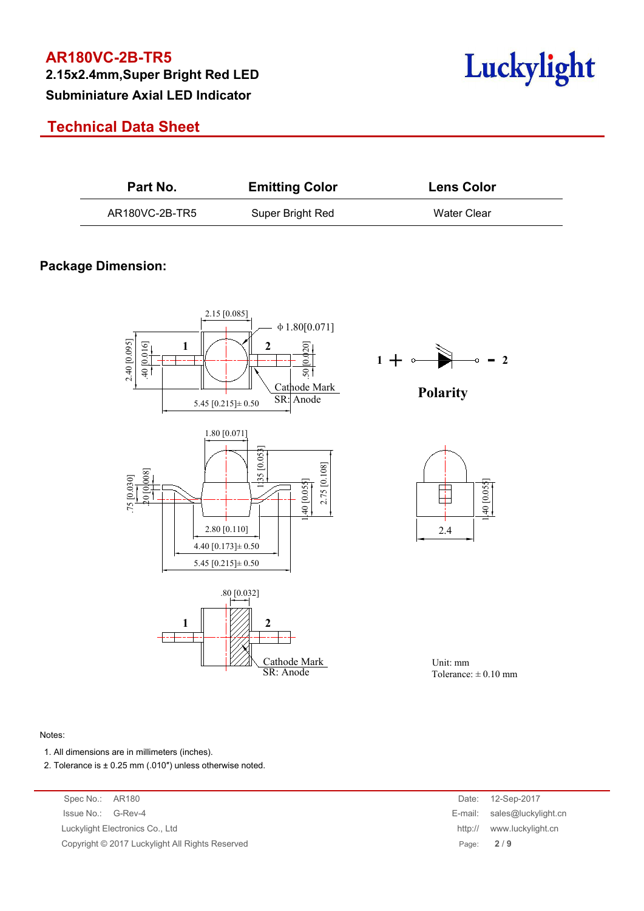**2.15x2.4mm,Super Bright Red LED Subminiature Axial LED Indicator**

# **Technical Data Sheet**

| <b>Luckvlight</b> |
|-------------------|
|                   |

| Part No.       | <b>Emitting Color</b> | <b>Lens Color</b> |  |
|----------------|-----------------------|-------------------|--|
| AR180VC-2B-TR5 | Super Bright Red      | Water Clear       |  |

## **Package Dimension:**











Unit: mm Tolerance:  $\pm 0.10$  mm

#### Notes:

- 1. All dimensions are in millimeters (inches).
- 2. Tolerance is  $\pm$  0.25 mm (.010") unless otherwise noted.

Spec No.: AR180 Issue No.: G-Rev-4 Luckylight Electronics Co., Ltd. Copyright © 2017 Luckylight All Rights Reserved

| Date:   | 12-Sep-2017         |
|---------|---------------------|
| E-mail: | sales@luckylight.cn |
| http:// | www.luckylight.cn   |
| Page:   | 2/9                 |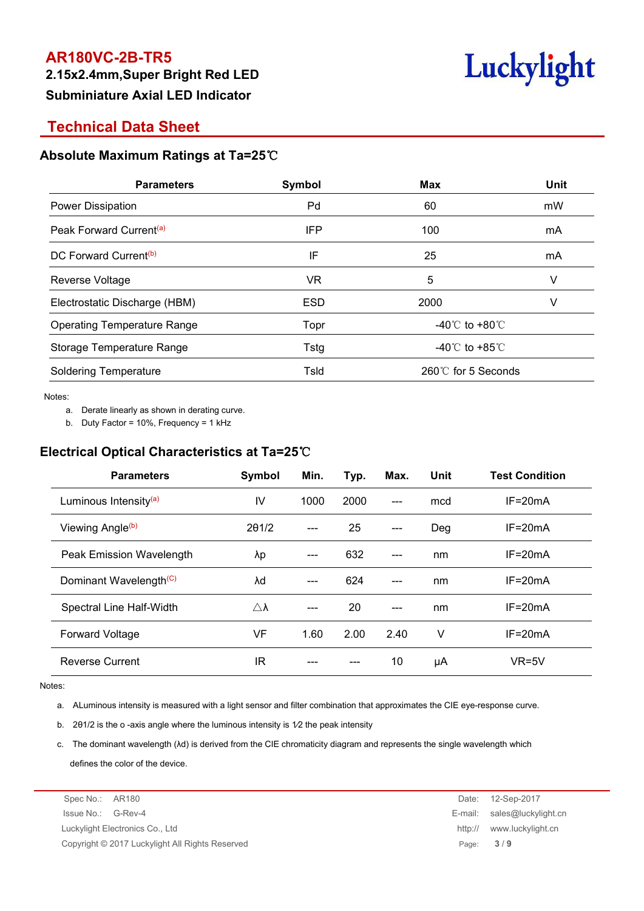**2.15x2.4mm,Super Bright Red LED Subminiature Axial LED Indicator**



# **Technical Data Sheet**

#### **Absolute Maximum Ratings at Ta=25**℃

| <b>Parameters</b>                   | Symbol      | <b>Max</b>                           | <b>Unit</b> |
|-------------------------------------|-------------|--------------------------------------|-------------|
| Power Dissipation                   | Pd          | 60                                   | mW          |
| Peak Forward Current <sup>(a)</sup> | IFP         | 100                                  | mA          |
| DC Forward Current <sup>(b)</sup>   | IF          | 25                                   | mA          |
| Reverse Voltage                     | <b>VR</b>   | 5                                    | v           |
| Electrostatic Discharge (HBM)       | <b>ESD</b>  | 2000                                 | v           |
| <b>Operating Temperature Range</b>  | Topr        | -40 $^{\circ}$ C to +80 $^{\circ}$ C |             |
| Storage Temperature Range           | <b>Tstg</b> | -40 $^{\circ}$ C to +85 $^{\circ}$ C |             |
| <b>Soldering Temperature</b>        | Tsld        | 260℃ for 5 Seconds                   |             |
|                                     |             |                                      |             |

Notes:<br>a. Derate linearly as shown in derating curve.

b. Duty Factor = 10%, Frequency = 1 kHz

#### **Electrical Optical Characteristics at Ta=25**℃

| <b>Parameters</b>                  | Symbol              | Min.  | Typ. | Max.  | Unit | <b>Test Condition</b> |
|------------------------------------|---------------------|-------|------|-------|------|-----------------------|
| Luminous Intensity <sup>(a)</sup>  | IV                  | 1000  | 2000 | $---$ | mcd  | $IF = 20mA$           |
| Viewing Angle <sup>(b)</sup>       | 201/2               | $---$ | 25   | $---$ | Deg  | $IF = 20mA$           |
| Peak Emission Wavelength           | λp                  | ---   | 632  | $---$ | nm   | $IF = 20mA$           |
| Dominant Wavelength <sup>(C)</sup> | λd                  | ---   | 624  | ---   | nm   | $IF = 20mA$           |
| Spectral Line Half-Width           | $\triangle \lambda$ | ---   | 20   | $---$ | nm   | $IF=20mA$             |
| <b>Forward Voltage</b>             | VF                  | 1.60  | 2.00 | 2.40  | V    | $IF=20mA$             |
| <b>Reverse Current</b>             | IR                  | ---   | ---  | 10    | μA   | $VR=5V$               |

Notes:

a. ALuminous intensity is measured with a light sensor and filter combination that approximates the CIE eye-response curve.

b. 2θ1/2 is the o -axis angle where the luminous intensity is 1⁄2 the peak intensity

c. The dominant wavelength (λd) is derived from the CIE chromaticity diagram and represents the single wavelength which defines the color of the device.

Spec No.: AR180 Date: 12-Sep-2017 Issue No.: G-Rev-4 E-mail: sales@luckylight.cn Luckylight Electronics Co., Ltd http:// www.luckylight.cn Copyright © 2017 Luckylight All Rights Reserved Page: **3** / **9**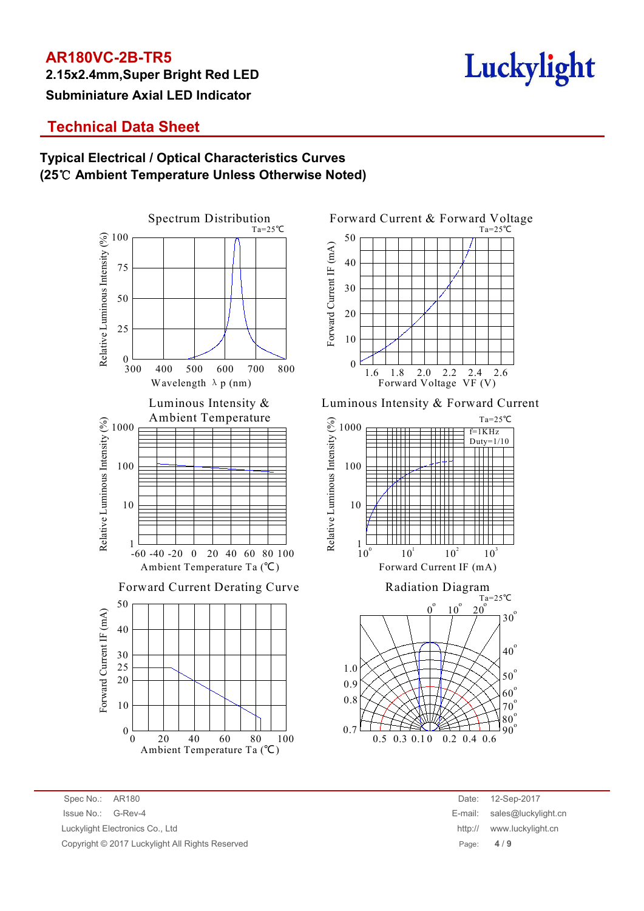**2.15x2.4mm,Super Bright Red LED Subminiature Axial LED Indicator**



# **Technical Data Sheet**

## **Typical Electrical / Optical Characteristics Curves (25**℃ **Ambient Temperature Unless Otherwise Noted)**





Luminous Intensity & Luminous Intensity & Forward Current



0.7

 $\begin{array}{c} 80^{\circ} \\ 90^{\circ} \end{array}$ 

 $80^\circ$ o

90<sup>o</sup>

Spec No.: AR180 Date: 12-Sep-2017 Issue No.: G-Rev-4 E-mail: sales@luckylight.cn Luckylight Electronics Co., Ltd http:// www.luckylight.cn Copyright © 2017 Luckylight All Rights Reserved Page: **4** / **9**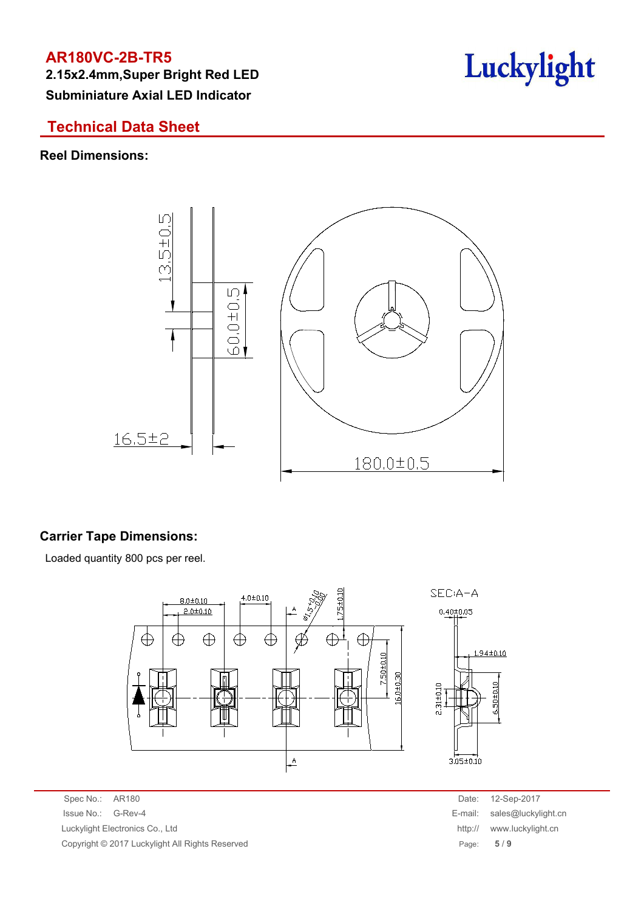**2.15x2.4mm,Super Bright Red LED Subminiature Axial LED Indicator**

# **Technical Data Sheet**

#### **Reel Dimensions:**



## **Carrier Tape Dimensions:**

Loaded quantity 800 pcs per reel.



Spec No.: AR180 Date: 12-Sep-2017 Issue No.: G-Rev-4 E-mail: sales@luckylight.cn Luckylight Electronics Co., Ltd http:// www.luckylight.cn Copyright © 2017 Luckylight All Rights Reserved Page: **5** / **9**

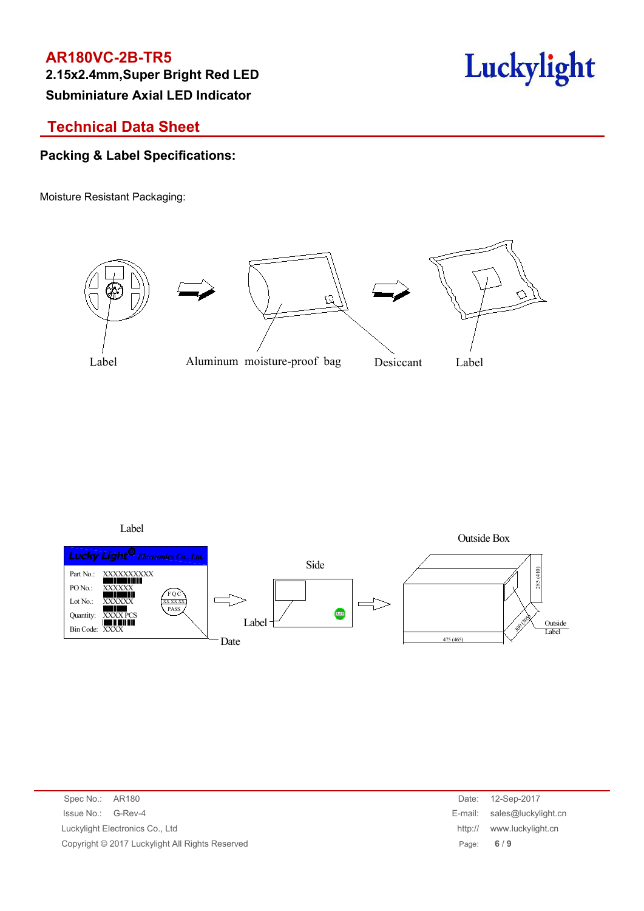**2.15x2.4mm,Super Bright Red LED Subminiature Axial LED Indicator**



# **Technical Data Sheet**

## **Packing & Label Specifications:**

Moisture Resistant Packaging:



Label



| Spec No.: AR180                                 | Date:   | 12-Sep-2017                 |
|-------------------------------------------------|---------|-----------------------------|
| Issue No.:<br>G-Rev-4                           |         | E-mail: sales@luckylight.cn |
| Luckylight Electronics Co., Ltd                 | http:// | www.luckylight.cn           |
| Copyright © 2017 Luckylight All Rights Reserved |         | Page: $6/9$                 |
|                                                 |         |                             |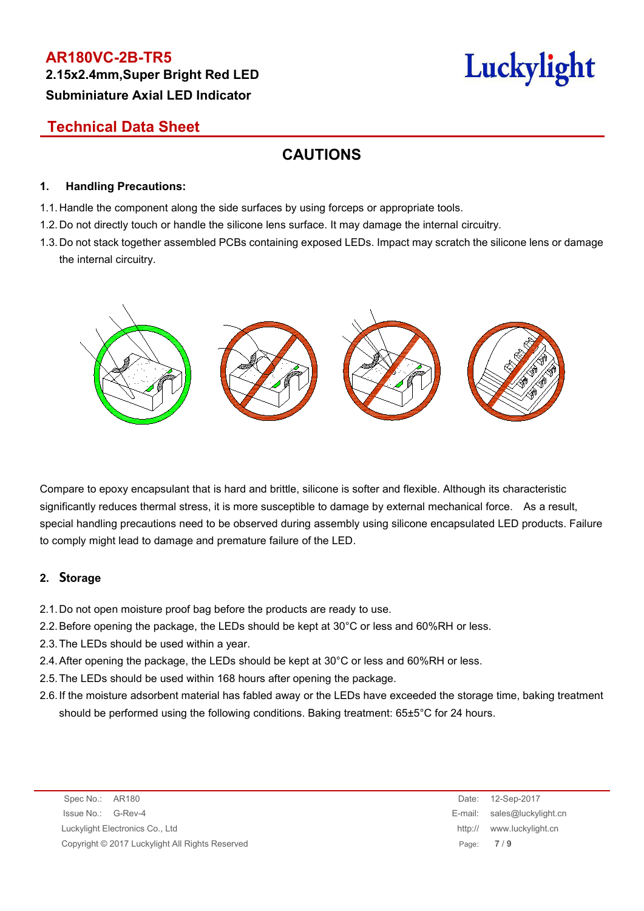**2.15x2.4mm,Super Bright Red LED Subminiature Axial LED Indicator**

# Luckylight

# **Technical Data Sheet**

# **CAUTIONS**

#### **1. Handling Precautions:**

- 1.1. Handle the component along the side surfaces by using forceps or appropriate tools.
- 1.2. Do not directly touch or handle the silicone lens surface. It may damage the internal circuitry.
- 1.3. Do not stack together assembled PCBs containing exposed LEDs. Impact may scratch the silicone lens or damage the internal circuitry.



Compare to epoxy encapsulant that is hard and brittle, silicone is softer and flexible. Although its characteristic significantly reduces thermal stress, it is more susceptible to damage by external mechanical force. As a result, special handling precautions need to be observed during assembly using silicone encapsulated LED products. Failure to comply might lead to damage and premature failure of the LED.

#### **2. Storage**

- 2.1.Do not open moisture proof bag before the products are ready to use.
- 2.2.Before opening the package, the LEDs should be kept at 30°C or less and 60%RH or less.
- 2.3.The LEDs should be used within a year.
- 2.4.After opening the package, the LEDs should be kept at 30°C or less and 60%RH or less.
- 2.5.The LEDs should be used within 168 hours after opening the package.
- 2.6.If the moisture adsorbent material has fabled away or the LEDs have exceeded the storage time, baking treatment should be performed using the following conditions. Baking treatment: 65±5°C for 24 hours.

| Spec No.: AR180                                 |             | Date: 12-Sep-2017           |
|-------------------------------------------------|-------------|-----------------------------|
| Issue No.: G-Rev-4                              |             | E-mail: sales@luckylight.cn |
| Luckylight Electronics Co., Ltd                 | http://     | www.luckylight.cn           |
| Copyright © 2017 Luckylight All Rights Reserved | Page: $7/9$ |                             |

Date: 12-Sep-2017 E-mail: sales@luckylight.cn http:// www.luckylight.cn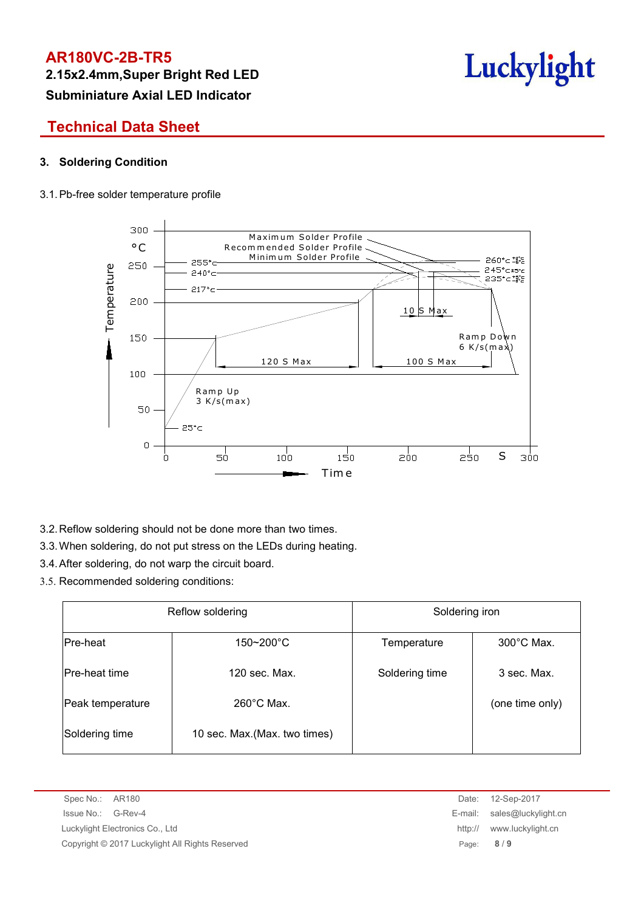**2.15x2.4mm,Super Bright Red LED Subminiature Axial LED Indicator**

# Luckylight

# **Technical Data Sheet**

#### **3. Soldering Condition**

#### 3.1.Pb-free solder temperature profile



3.2.Reflow soldering should not be done more than two times.

- 3.3.When soldering, do not put stress on the LEDs during heating.
- 3.4.After soldering, do not warp the circuit board.
- 3.5. Recommended soldering conditions:

| Reflow soldering |                               | Soldering iron |                      |  |
|------------------|-------------------------------|----------------|----------------------|--|
| Pre-heat         | $150 - 200^{\circ}$ C         | Temperature    | $300^{\circ}$ C Max. |  |
| Pre-heat time    | 120 sec. Max.                 | Soldering time | 3 sec. Max.          |  |
| Peak temperature | $260^{\circ}$ C Max.          |                | (one time only)      |  |
| Soldering time   | 10 sec. Max. (Max. two times) |                |                      |  |